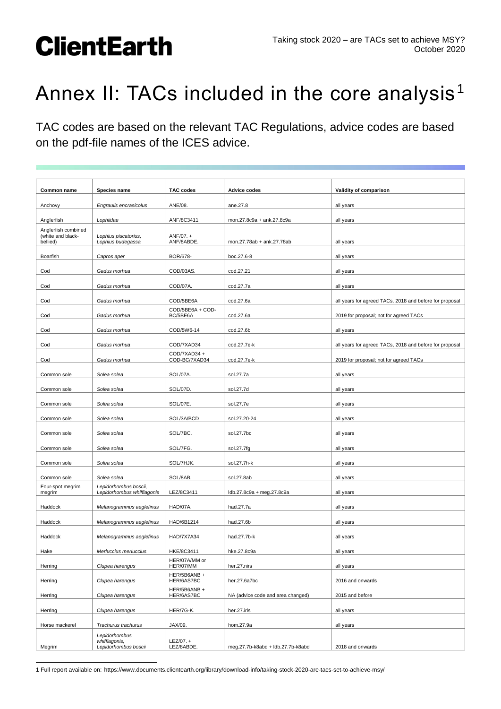#### Taking stock 2020 – are TACs set to achieve MSY? October 2020

## **ClientEarth**

### Annex II: TACs included in the core analysis<sup>1</sup>

TAC codes are based on the relevant TAC Regulations, advice codes are based on the pdf-file names of the ICES advice.

| Common name                                          | Species name                                           | <b>TAC codes</b>             | <b>Advice codes</b>               | Validity of comparison                                  |
|------------------------------------------------------|--------------------------------------------------------|------------------------------|-----------------------------------|---------------------------------------------------------|
| Anchovy                                              | Engraulis encrasicolus                                 | ANE/08.                      | ane.27.8                          | all years                                               |
| Anglerfish                                           | Lophiidae                                              | ANF/8C3411                   | mon.27.8c9a + ank.27.8c9a         | all years                                               |
| Anglerfish combined<br>(white and black-<br>bellied) | Lophius piscatorius,<br>Lophius budegassa              | ANF/07. +<br>ANF/8ABDE.      | mon.27.78ab + ank.27.78ab         | all years                                               |
| Boarfish                                             | Capros aper                                            | BOR/678-                     | boc.27.6-8                        | all years                                               |
| Cod                                                  | Gadus morhua                                           | COD/03AS.                    | cod.27.21                         | all years                                               |
| Cod                                                  | Gadus morhua                                           | COD/07A.                     | cod.27.7a                         | all years                                               |
| Cod                                                  | Gadus morhua                                           | COD/5BE6A                    | cod.27.6a                         | all years for agreed TACs, 2018 and before for proposal |
| Cod                                                  | Gadus morhua                                           | COD/5BE6A + COD-<br>BC/5BE6A | cod.27.6a                         | 2019 for proposal; not for agreed TACs                  |
| Cod                                                  | Gadus morhua                                           | COD/5W6-14                   | cod.27.6b                         | all years                                               |
| Cod                                                  | Gadus morhua                                           | COD/7XAD34                   | cod.27.7e-k                       | all years for agreed TACs, 2018 and before for proposal |
| Cod                                                  | Gadus morhua                                           | COD/7XAD34+<br>COD-BC/7XAD34 | cod.27.7e-k                       | 2019 for proposal; not for agreed TACs                  |
| Common sole                                          | Solea solea                                            | SOL/07A.                     | sol.27.7a                         | all years                                               |
| Common sole                                          | Solea solea                                            | SOL/07D.                     | sol.27.7d                         | all years                                               |
| Common sole                                          | Solea solea                                            | SOL/07E.                     | sol.27.7e                         | all years                                               |
| Common sole                                          | Solea solea                                            | SOL/3A/BCD                   | sol.27.20-24                      | all years                                               |
| Common sole                                          | Solea solea                                            | SOL/7BC.                     | sol.27.7bc                        | all years                                               |
| Common sole                                          | Solea solea                                            | SOL/7FG.                     | sol.27.7fg                        | all years                                               |
| Common sole                                          | Solea solea                                            | SOL/7HJK.                    | sol.27.7h-k                       | all years                                               |
| Common sole                                          | Solea solea                                            | SOL/8AB.                     | sol.27.8ab                        | all years                                               |
| Four-spot megrim,<br>megrim                          | Lepidorhombus boscii,<br>Lepidorhombus whiffiagonis    | LEZ/8C3411                   | ldb.27.8c9a + meg.27.8c9a         | all years                                               |
| Haddock                                              | Melanogrammus aeglefinus                               | HAD/07A.                     | had.27.7a                         |                                                         |
|                                                      | Melanogrammus aeglefinus                               |                              |                                   | all years                                               |
| Haddock                                              |                                                        | HAD/6B1214                   | had.27.6b                         | all years                                               |
| Haddock                                              | Melanogrammus aeglefinus                               | HAD/7X7A34                   | had.27.7b-k                       | all years                                               |
| Hake                                                 | Merluccius merluccius                                  | HKE/8C3411<br>HER/07A/MM or  | hke.27.8c9a                       | all years                                               |
| Herring                                              | Clupea harengus                                        | HER/07/MM<br>HER/5B6ANB +    | her.27.nirs                       | all years                                               |
| Herring                                              | Clupea harengus                                        | HER/6AS7BC<br>HER/5B6ANB +   | her.27.6a7bc                      | 2016 and onwards                                        |
| Herring                                              | Clupea harengus                                        | HER/6AS7BC                   | NA (advice code and area changed) | 2015 and before                                         |
| Herring                                              | Clupea harengus                                        | HER/7G-K.                    | her.27.irls                       | all years                                               |
| Horse mackerel                                       | Trachurus trachurus                                    | JAX/09.                      | hom.27.9a                         | all years                                               |
| Megrim                                               | Lepidorhombus<br>whiffiagonis,<br>Lepidorhombus boscii | $LEZ/07. +$<br>LEZ/8ABDE.    | meg.27.7b-k8abd + ldb.27.7b-k8abd | 2018 and onwards                                        |

 $\overline{a}$ 1 Full report available on: https://www.documents.clientearth.org/library/download-info/taking-stock-2020-are-tacs-set-to-achieve-msy/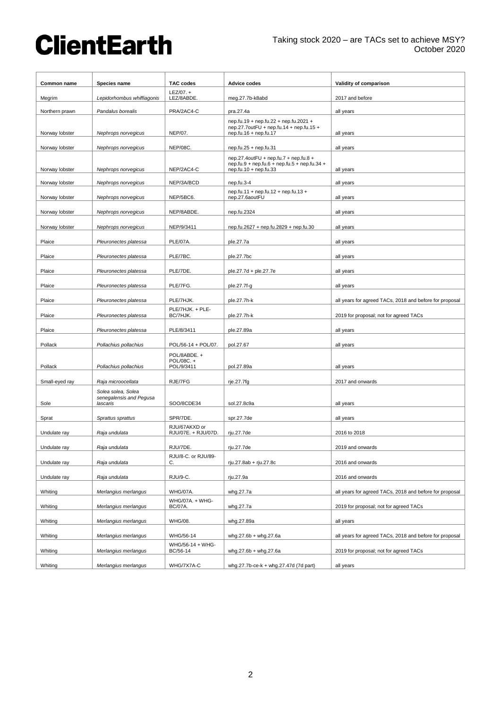# **ClientEarth**

| Common name    | Species name                                              | <b>TAC codes</b>                     | <b>Advice codes</b>                                                                                            | Validity of comparison                                  |
|----------------|-----------------------------------------------------------|--------------------------------------|----------------------------------------------------------------------------------------------------------------|---------------------------------------------------------|
| Megrim         | Lepidorhombus whiffiagonis                                | $LEZ/07. +$<br>LEZ/8ABDE.            | meg.27.7b-k8abd                                                                                                | 2017 and before                                         |
| Northern prawn | Pandalus borealis                                         | PRA/2AC4-C                           | pra.27.4a                                                                                                      | all years                                               |
| Norway lobster | Nephrops norvegicus                                       | NEP/07.                              | nep.fu.19 + nep.fu.22 + nep.fu.2021 +<br>nep.27.7outFU + nep.fu.14 + nep.fu.15 +<br>nep.fu.16 + nep.fu.17      | all years                                               |
| Norway lobster | Nephrops norvegicus                                       | <b>NEP/08C.</b>                      | nep.fu.25 + nep.fu.31                                                                                          | all years                                               |
| Norway lobster | Nephrops norvegicus                                       | NEP/2AC4-C                           | nep.27.4outFU + nep.fu.7 + nep.fu.8 +<br>nep.fu.9 + nep.fu.6 + nep.fu.5 + nep.fu.34 +<br>nep.fu.10 + nep.fu.33 | all years                                               |
| Norway lobster | Nephrops norvegicus                                       | NEP/3A/BCD                           | nep.fu.3-4                                                                                                     | all years                                               |
| Norway lobster | Nephrops norvegicus                                       | NEP/5BC6.                            | $nep.fu.11 + nep.fu.12 + nep.fu.13 +$<br>nep.27.6aoutFU                                                        | all years                                               |
| Norway lobster | Nephrops norvegicus                                       | NEP/8ABDE.                           | nep.fu.2324                                                                                                    | all years                                               |
| Norway lobster | Nephrops norvegicus                                       | NEP/9/3411                           | nep.fu.2627 + nep.fu.2829 + nep.fu.30                                                                          | all years                                               |
| Plaice         | Pleuronectes platessa                                     | <b>PLE/07A.</b>                      | ple.27.7a                                                                                                      | all years                                               |
|                | Pleuronectes platessa                                     |                                      |                                                                                                                |                                                         |
| Plaice         |                                                           | PLE/7BC.                             | ple.27.7bc                                                                                                     | all years                                               |
| Plaice         | Pleuronectes platessa                                     | PLE/7DE.                             | ple.27.7d + ple.27.7e                                                                                          | all years                                               |
| Plaice         | Pleuronectes platessa                                     | PLE/7FG.                             | ple.27.7f-g                                                                                                    | all years                                               |
| Plaice         | Pleuronectes platessa                                     | PLE/7HJK.                            | ple.27.7h-k                                                                                                    | all years for agreed TACs, 2018 and before for proposal |
| Plaice         | Pleuronectes platessa                                     | PLE/7HJK. + PLE-<br>BC/7HJK.         | ple.27.7h-k                                                                                                    | 2019 for proposal; not for agreed TACs                  |
| Plaice         | Pleuronectes platessa                                     | PLE/8/3411                           | ple.27.89a                                                                                                     | all years                                               |
| Pollack        | Pollachius pollachius                                     | POL/56-14 + POL/07.                  | pol.27.67                                                                                                      | all years                                               |
|                |                                                           | POL/8ABDE. +<br>POL/08C. +           |                                                                                                                |                                                         |
| Pollack        | Pollachius pollachius                                     | POL/9/3411                           | pol.27.89a                                                                                                     | all years                                               |
| Small-eyed ray | Raja microocellata                                        | RJE/7FG                              | rje.27.7fg                                                                                                     | 2017 and onwards                                        |
| Sole           | Solea solea, Solea<br>senegalensis and Pequsa<br>lascaris | SOO/8CDE34                           | sol.27.8c9a                                                                                                    | all years                                               |
| Sprat          | Sprattus sprattus                                         | SPR/7DE.                             | spr.27.7de                                                                                                     | all years                                               |
| Undulate ray   | Raja undulata                                             | RJU/67AKXD or<br>RJU/07E. + RJU/07D. | rju.27.7de                                                                                                     | 2016 to 2018                                            |
| Undulate ray   | Raja undulata                                             | RJU/7DE                              | rju.27.7de                                                                                                     | 2019 and onwards                                        |
| Undulate ray   | Raja undulata                                             | RJU/8-C. or RJU/89-<br>C.            | rju.27.8ab + rju.27.8c                                                                                         | 2016 and onwards                                        |
| Undulate ray   | Raja undulata                                             | RJU/9-C.                             | rju.27.9a                                                                                                      | 2016 and onwards                                        |
|                |                                                           |                                      |                                                                                                                |                                                         |
| Whiting        | Merlangius merlangus                                      | <b>WHG/07A.</b><br>WHG/07A. + WHG-   | whg.27.7a                                                                                                      | all years for agreed TACs, 2018 and before for proposal |
| Whiting        | Merlangius merlangus                                      | <b>BC/07A.</b>                       | whg.27.7a                                                                                                      | 2019 for proposal; not for agreed TACs                  |
| Whiting        | Merlangius merlangus                                      | <b>WHG/08.</b>                       | whg.27.89a                                                                                                     | all years                                               |
| Whiting        | Merlangius merlangus                                      | WHG/56-14                            | whg.27.6b + whg.27.6a                                                                                          | all years for agreed TACs, 2018 and before for proposal |
| Whiting        | Merlangius merlangus                                      | WHG/56-14 + WHG-<br>BC/56-14         | whg.27.6b + whg.27.6a                                                                                          | 2019 for proposal; not for agreed TACs                  |
| Whiting        | Merlangius merlangus                                      | WHG/7X7A-C                           | whg.27.7b-ce-k + whg.27.47d (7d part)                                                                          | all years                                               |